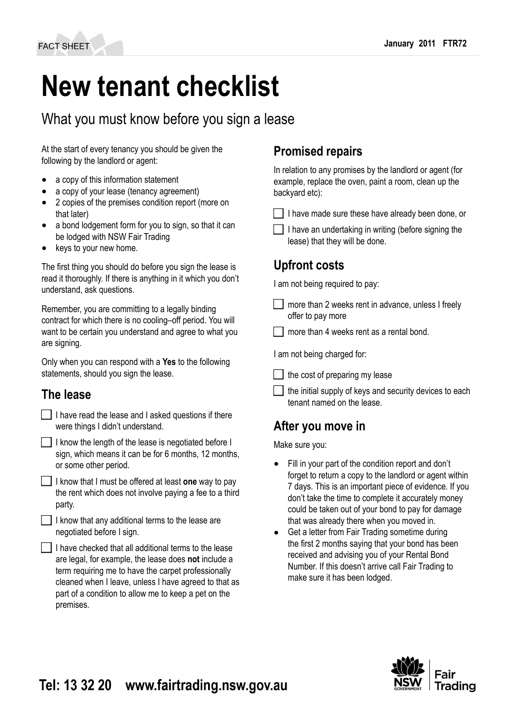# **New tenant checklist**

# What you must know before you sign a lease

At the start of every tenancy you should be given the following by the landlord or agent:

- a copy of this information statement
- a copy of your lease (tenancy agreement)
- 2 copies of the premises condition report (more on that later)
- a bond lodgement form for you to sign, so that it can be lodged with NSW Fair Trading
- keys to your new home.

The first thing you should do before you sign the lease is read it thoroughly. If there is anything in it which you don't understand, ask questions.

Remember, you are committing to a legally binding contract for which there is no cooling–off period. You will want to be certain you understand and agree to what you are signing.

Only when you can respond with a **Yes** to the following statements, should you sign the lease.

## **The lease**

|                                  | I have read the lease and I asked questions if there |  |  |
|----------------------------------|------------------------------------------------------|--|--|
| were things I didn't understand. |                                                      |  |  |

I know the length of the lease is negotiated before  $I$ sign, which means it can be for 6 months, 12 months, or some other period.

I know that I must be offered at least **one** way to pay the rent which does not involve paying a fee to a third party.

 $\Box$  I know that any additional terms to the lease are negotiated before I sign.

I I have checked that all additional terms to the lease are legal, for example, the lease does **not** include a term requiring me to have the carpet professionally cleaned when I leave, unless I have agreed to that as part of a condition to allow me to keep a pet on the premises.

## **Promised repairs**

In relation to any promises by the landlord or agent (for example, replace the oven, paint a room, clean up the backyard etc):

- $\Box$  I have made sure these have already been done, or
- I have an undertaking in writing (before signing the lease) that they will be done.

## **Upfront costs**

I am not being required to pay:

- $\Box$  more than 2 weeks rent in advance, unless I freely offer to pay more
- more than 4 weeks rent as a rental bond.

I am not being charged for:

 $\Box$  the cost of preparing my lease

the initial supply of keys and security devices to each tenant named on the lease.

# **After you move in**

Make sure you:

- Fill in your part of the condition report and don't forget to return a copy to the landlord or agent within 7 days. This is an important piece of evidence. If you don't take the time to complete it accurately money could be taken out of your bond to pay for damage that was already there when you moved in.
- Get a letter from Fair Trading sometime during the first 2 months saying that your bond has been received and advising you of your Rental Bond Number. If this doesn't arrive call Fair Trading to make sure it has been lodged.